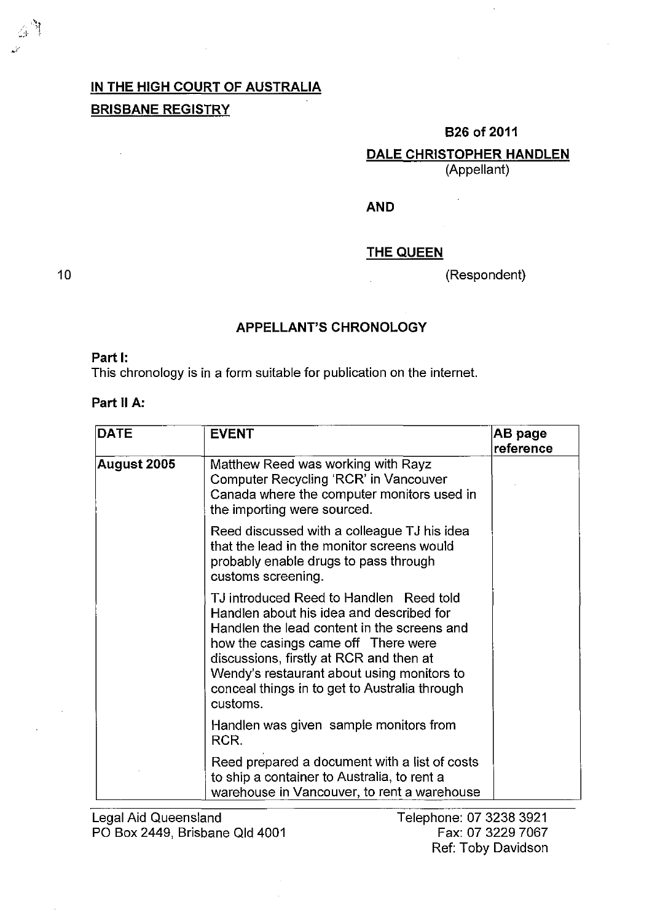# **IN THE HIGH COURT OF AUSTRALIA BRISBANE REGISTRY**

#### **B26of2011**

**DALE CHRISTOPHER HANDLEN** 

(Appellant)

#### **AND**

#### **THE QUEEN**

(Respondent)

10

 $\left[\begin{array}{c} 1.9 \\ 2.1 \end{array}\right]$  $~\cdot \cdot$  .

#### **APPELLANT'S CHRONOLOGY**

## **Part I:**

This chronology is in a form suitable for publication on the internet.

### **Part 11 A:**

| <b>DATE</b> | <b>EVENT</b>                                                                                                                                                                                                                                                                                                                    | AB page<br>reference |
|-------------|---------------------------------------------------------------------------------------------------------------------------------------------------------------------------------------------------------------------------------------------------------------------------------------------------------------------------------|----------------------|
| August 2005 | Matthew Reed was working with Rayz<br>Computer Recycling 'RCR' in Vancouver<br>Canada where the computer monitors used in<br>the importing were sourced.                                                                                                                                                                        |                      |
|             | Reed discussed with a colleague TJ his idea<br>that the lead in the monitor screens would<br>probably enable drugs to pass through<br>customs screening.                                                                                                                                                                        |                      |
|             | TJ introduced Reed to Handlen Reed told<br>Handlen about his idea and described for<br>Handlen the lead content in the screens and<br>how the casings came off There were<br>discussions, firstly at RCR and then at<br>Wendy's restaurant about using monitors to<br>conceal things in to get to Australia through<br>customs. |                      |
|             | Handlen was given sample monitors from<br>RCR.                                                                                                                                                                                                                                                                                  |                      |
|             | Reed prepared a document with a list of costs<br>to ship a container to Australia, to rent a<br>warehouse in Vancouver, to rent a warehouse                                                                                                                                                                                     |                      |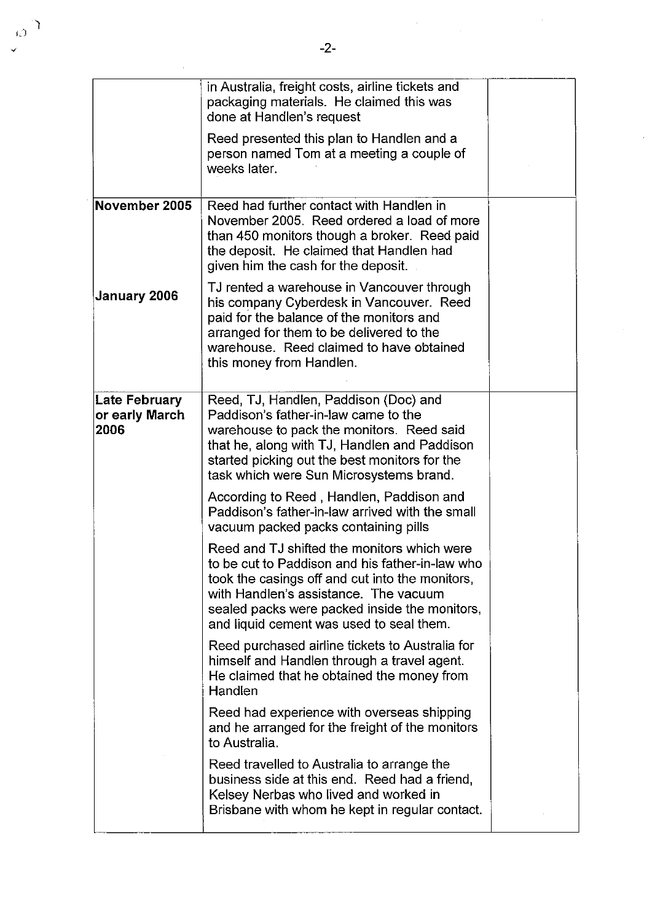|                                                | in Australia, freight costs, airline tickets and<br>packaging materials. He claimed this was<br>done at Handlen's request                                                                                                                                                               |  |
|------------------------------------------------|-----------------------------------------------------------------------------------------------------------------------------------------------------------------------------------------------------------------------------------------------------------------------------------------|--|
|                                                | Reed presented this plan to Handlen and a<br>person named Tom at a meeting a couple of<br>weeks later.                                                                                                                                                                                  |  |
| November 2005                                  | Reed had further contact with Handlen in<br>November 2005. Reed ordered a load of more<br>than 450 monitors though a broker. Reed paid<br>the deposit. He claimed that Handlen had<br>given him the cash for the deposit.                                                               |  |
| <b>January 2006</b>                            | TJ rented a warehouse in Vancouver through<br>his company Cyberdesk in Vancouver. Reed<br>paid for the balance of the monitors and<br>arranged for them to be delivered to the<br>warehouse. Reed claimed to have obtained<br>this money from Handlen.                                  |  |
| <b>Late February</b><br>or early March<br>2006 | Reed, TJ, Handlen, Paddison (Doc) and<br>Paddison's father-in-law came to the<br>warehouse to pack the monitors. Reed said<br>that he, along with TJ, Handlen and Paddison<br>started picking out the best monitors for the<br>task which were Sun Microsystems brand.                  |  |
|                                                | According to Reed, Handlen, Paddison and<br>Paddison's father-in-law arrived with the small<br>vacuum packed packs containing pills                                                                                                                                                     |  |
|                                                | Reed and TJ shifted the monitors which were<br>to be cut to Paddison and his father-in-law who<br>took the casings off and cut into the monitors,<br>with Handlen's assistance. The vacuum<br>sealed packs were packed inside the monitors,<br>and liquid cement was used to seal them. |  |
|                                                | Reed purchased airline tickets to Australia for<br>himself and Handlen through a travel agent.<br>He claimed that he obtained the money from<br>Handlen                                                                                                                                 |  |
|                                                | Reed had experience with overseas shipping<br>and he arranged for the freight of the monitors<br>to Australia.                                                                                                                                                                          |  |
|                                                | Reed travelled to Australia to arrange the<br>business side at this end. Reed had a friend,<br>Kelsey Nerbas who lived and worked in<br>Brisbane with whom he kept in regular contact.                                                                                                  |  |

 $\ddot{\phantom{0}}$ 

 $\mathcal{A}^{\mathcal{A}}$ 

 $\frac{1}{2}$ 

 $\omega^{\gamma}$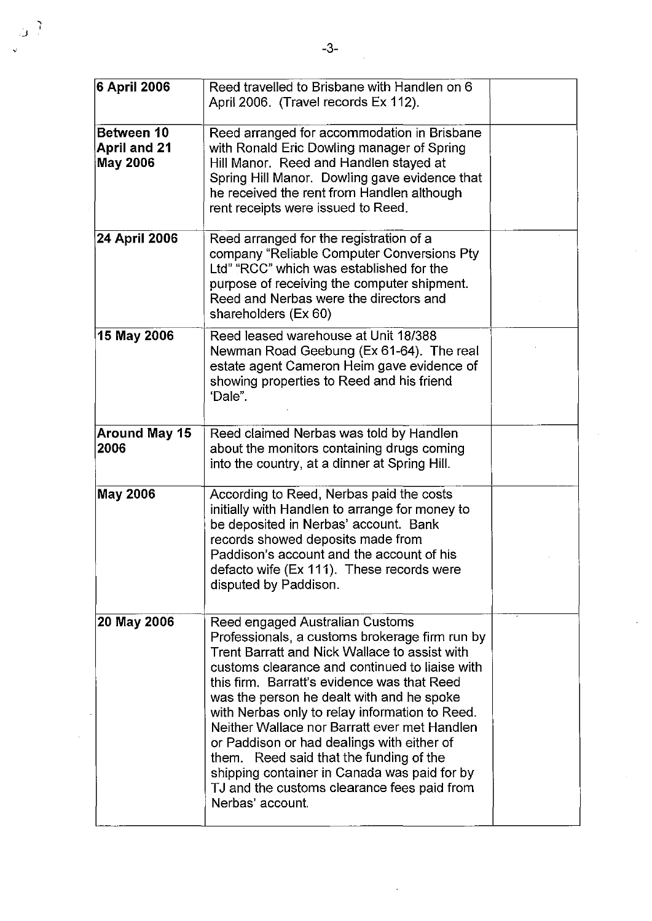| 6 April 2006                                         | Reed travelled to Brisbane with Handlen on 6<br>April 2006. (Travel records Ex 112).                                                                                                                                                                                                                                                                                                                                                                                                                                                                                                           |  |
|------------------------------------------------------|------------------------------------------------------------------------------------------------------------------------------------------------------------------------------------------------------------------------------------------------------------------------------------------------------------------------------------------------------------------------------------------------------------------------------------------------------------------------------------------------------------------------------------------------------------------------------------------------|--|
| Between 10<br><b>April and 21</b><br><b>May 2006</b> | Reed arranged for accommodation in Brisbane<br>with Ronald Eric Dowling manager of Spring<br>Hill Manor. Reed and Handlen stayed at<br>Spring Hill Manor. Dowling gave evidence that<br>he received the rent from Handlen although<br>rent receipts were issued to Reed.                                                                                                                                                                                                                                                                                                                       |  |
| 24 April 2006                                        | Reed arranged for the registration of a<br>company "Reliable Computer Conversions Pty<br>Ltd" "RCC" which was established for the<br>purpose of receiving the computer shipment.<br>Reed and Nerbas were the directors and<br>shareholders (Ex 60)                                                                                                                                                                                                                                                                                                                                             |  |
| 15 May 2006                                          | Reed leased warehouse at Unit 18/388<br>Newman Road Geebung (Ex 61-64). The real<br>estate agent Cameron Heim gave evidence of<br>showing properties to Reed and his friend<br>'Dale".                                                                                                                                                                                                                                                                                                                                                                                                         |  |
| <b>Around May 15</b><br>2006                         | Reed claimed Nerbas was told by Handlen<br>about the monitors containing drugs coming<br>into the country, at a dinner at Spring Hill.                                                                                                                                                                                                                                                                                                                                                                                                                                                         |  |
| <b>May 2006</b>                                      | According to Reed, Nerbas paid the costs<br>initially with Handlen to arrange for money to<br>be deposited in Nerbas' account. Bank<br>records showed deposits made from<br>Paddison's account and the account of his<br>defacto wife (Ex 111). These records were<br>disputed by Paddison.                                                                                                                                                                                                                                                                                                    |  |
| 20 May 2006                                          | Reed engaged Australian Customs<br>Professionals, a customs brokerage firm run by<br>Trent Barratt and Nick Wallace to assist with<br>customs clearance and continued to liaise with<br>this firm. Barratt's evidence was that Reed<br>was the person he dealt with and he spoke<br>with Nerbas only to relay information to Reed.<br>Neither Wallace nor Barratt ever met Handlen<br>or Paddison or had dealings with either of<br>them. Reed said that the funding of the<br>shipping container in Canada was paid for by<br>TJ and the customs clearance fees paid from<br>Nerbas' account. |  |

Ŷ,

 $\mathcal{L}_{\mathcal{L}}$ 

 $\hat{\vec{r}}$ 

 $\frac{1}{2}$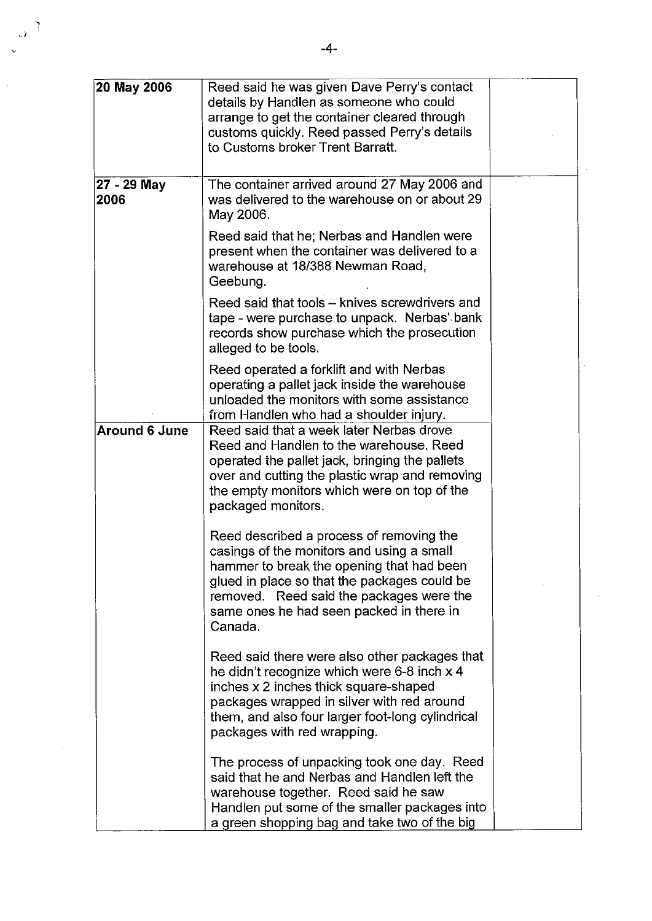| 20 May 2006          | Reed said he was given Dave Perry's contact<br>details by Handlen as someone who could<br>arrange to get the container cleared through<br>customs quickly. Reed passed Perry's details<br>to Customs broker Trent Barratt.                                                            |  |
|----------------------|---------------------------------------------------------------------------------------------------------------------------------------------------------------------------------------------------------------------------------------------------------------------------------------|--|
| 27 - 29 May<br>2006  | The container arrived around 27 May 2006 and<br>was delivered to the warehouse on or about 29<br>May 2006.                                                                                                                                                                            |  |
|                      | Reed said that he; Nerbas and Handlen were<br>present when the container was delivered to a<br>warehouse at 18/388 Newman Road,<br>Geebung.                                                                                                                                           |  |
|                      | Reed said that tools – knives screwdrivers and<br>tape - were purchase to unpack. Nerbas' bank<br>records show purchase which the prosecution<br>alleged to be tools.                                                                                                                 |  |
|                      | Reed operated a forklift and with Nerbas<br>operating a pallet jack inside the warehouse<br>unloaded the monitors with some assistance<br>from Handlen who had a shoulder injury.                                                                                                     |  |
| <b>Around 6 June</b> | Reed said that a week later Nerbas drove<br>Reed and Handlen to the warehouse. Reed<br>operated the pallet jack, bringing the pallets<br>over and cutting the plastic wrap and removing<br>the empty monitors which were on top of the<br>packaged monitors.                          |  |
|                      | Reed described a process of removing the<br>casings of the monitors and using a small<br>hammer to break the opening that had been<br>glued in place so that the packages could be<br>removed. Reed said the packages were the<br>same ones he had seen packed in there in<br>Canada. |  |
|                      | Reed said there were also other packages that<br>he didn't recognize which were 6-8 inch x 4<br>inches x 2 inches thick square-shaped<br>packages wrapped in silver with red around<br>them, and also four larger foot-long cylindrical<br>packages with red wrapping.                |  |
|                      | The process of unpacking took one day. Reed<br>said that he and Nerbas and Handlen left the<br>warehouse together. Reed said he saw<br>Handlen put some of the smaller packages into<br>a green shopping bag and take two of the big                                                  |  |

 $\frac{1}{2}$ 

 $\hat{\mathcal{L}}$ 

,.1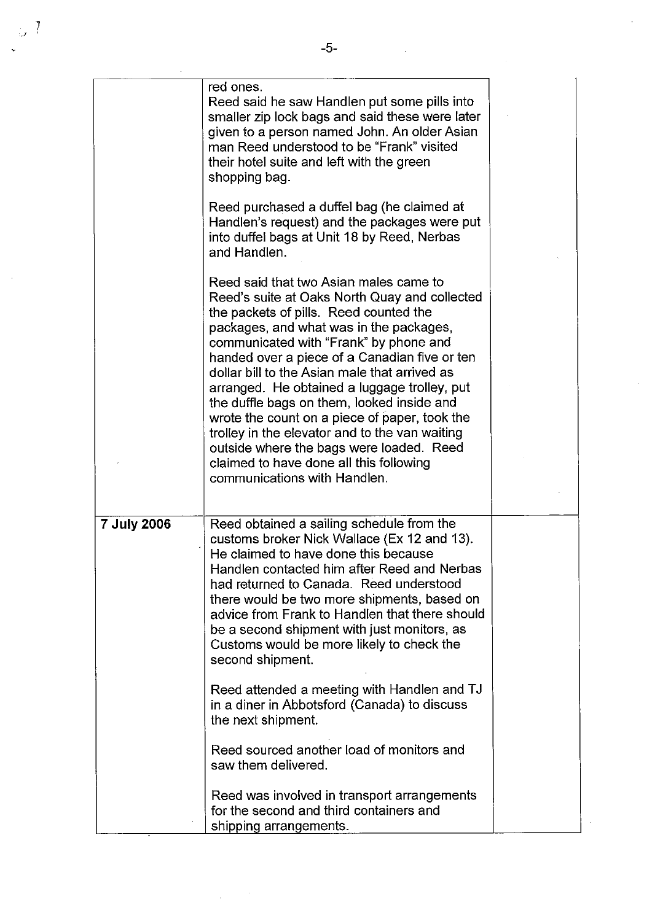$\frac{1}{2} \sum_{i=1}^{n} \frac{1}{2} \sum_{j=1}^{n} \frac{1}{2} \sum_{j=1}^{n} \frac{1}{2} \sum_{j=1}^{n} \frac{1}{2} \sum_{j=1}^{n} \frac{1}{2} \sum_{j=1}^{n} \frac{1}{2} \sum_{j=1}^{n} \frac{1}{2} \sum_{j=1}^{n} \frac{1}{2} \sum_{j=1}^{n} \frac{1}{2} \sum_{j=1}^{n} \frac{1}{2} \sum_{j=1}^{n} \frac{1}{2} \sum_{j=1}^{n} \frac{1}{2} \sum_{j=1}^{n$ 

 $\mathcal{L}^{\text{max}}$ 

|                    | red ones.<br>Reed said he saw Handlen put some pills into<br>smaller zip lock bags and said these were later<br>given to a person named John. An older Asian<br>man Reed understood to be "Frank" visited<br>their hotel suite and left with the green<br>shopping bag.                                                                                                                                                                                                                                                                                                                                                                          |  |
|--------------------|--------------------------------------------------------------------------------------------------------------------------------------------------------------------------------------------------------------------------------------------------------------------------------------------------------------------------------------------------------------------------------------------------------------------------------------------------------------------------------------------------------------------------------------------------------------------------------------------------------------------------------------------------|--|
|                    | Reed purchased a duffel bag (he claimed at<br>Handlen's request) and the packages were put<br>into duffel bags at Unit 18 by Reed, Nerbas<br>and Handlen.                                                                                                                                                                                                                                                                                                                                                                                                                                                                                        |  |
|                    | Reed said that two Asian males came to<br>Reed's suite at Oaks North Quay and collected<br>the packets of pills. Reed counted the<br>packages, and what was in the packages,<br>communicated with "Frank" by phone and<br>handed over a piece of a Canadian five or ten<br>dollar bill to the Asian male that arrived as<br>arranged. He obtained a luggage trolley, put<br>the duffle bags on them, looked inside and<br>wrote the count on a piece of paper, took the<br>trolley in the elevator and to the van waiting<br>outside where the bags were loaded. Reed<br>claimed to have done all this following<br>communications with Handlen. |  |
| <b>7 July 2006</b> | Reed obtained a sailing schedule from the<br>customs broker Nick Wallace (Ex 12 and 13).<br>He claimed to have done this because<br>Handlen contacted him after Reed and Nerbas<br>had returned to Canada. Reed understood<br>there would be two more shipments, based on<br>advice from Frank to Handlen that there should<br>be a second shipment with just monitors, as<br>Customs would be more likely to check the<br>second shipment.                                                                                                                                                                                                      |  |
|                    | Reed attended a meeting with Handlen and TJ<br>in a diner in Abbotsford (Canada) to discuss<br>the next shipment.                                                                                                                                                                                                                                                                                                                                                                                                                                                                                                                                |  |
|                    | Reed sourced another load of monitors and<br>saw them delivered.                                                                                                                                                                                                                                                                                                                                                                                                                                                                                                                                                                                 |  |
|                    | Reed was involved in transport arrangements<br>for the second and third containers and<br>shipping arrangements.                                                                                                                                                                                                                                                                                                                                                                                                                                                                                                                                 |  |

 $\label{eq:2.1} \frac{1}{\sqrt{2\pi}}\int_{0}^{\infty}\frac{1}{\sqrt{2\pi}}\left(\frac{1}{\sqrt{2\pi}}\right)^{2\alpha} \frac{1}{\sqrt{2\pi}}\left(\frac{1}{\sqrt{2\pi}}\right)^{\alpha} \frac{1}{\sqrt{2\pi}}\left(\frac{1}{\sqrt{2\pi}}\right)^{\alpha} \frac{1}{\sqrt{2\pi}}\left(\frac{1}{\sqrt{2\pi}}\right)^{\alpha} \frac{1}{\sqrt{2\pi}}\left(\frac{1}{\sqrt{2\pi}}\right)^{\alpha} \frac{1}{\sqrt{2\pi}}\left(\frac{1}{\sqrt{2\pi}}\right$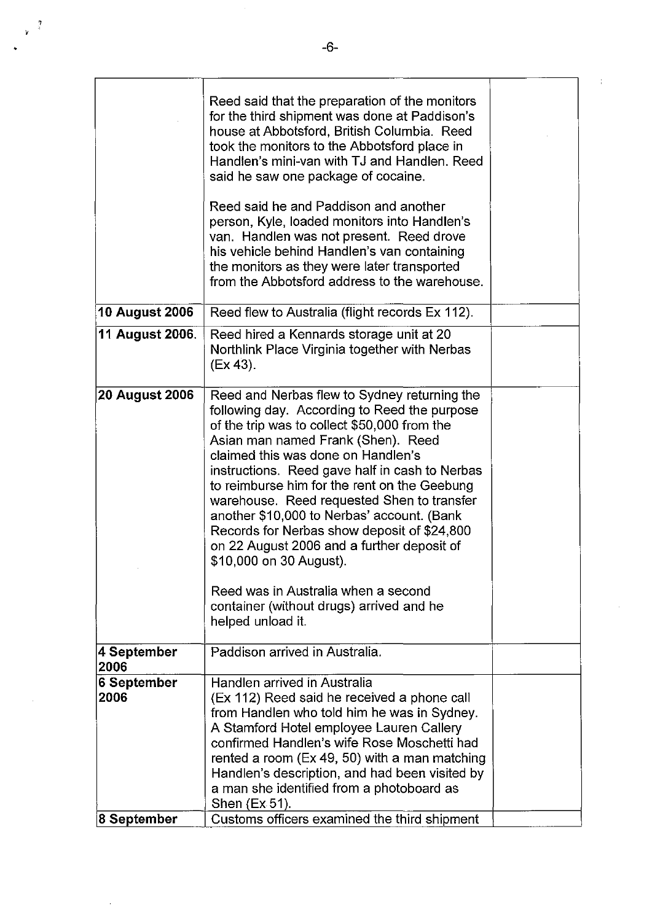|                       | Reed said that the preparation of the monitors<br>for the third shipment was done at Paddison's<br>house at Abbotsford, British Columbia. Reed<br>took the monitors to the Abbotsford place in<br>Handlen's mini-van with TJ and Handlen. Reed<br>said he saw one package of cocaine.<br>Reed said he and Paddison and another<br>person, Kyle, loaded monitors into Handlen's<br>van. Handlen was not present. Reed drove<br>his vehicle behind Handlen's van containing<br>the monitors as they were later transported<br>from the Abbotsford address to the warehouse.                                                                              |  |
|-----------------------|--------------------------------------------------------------------------------------------------------------------------------------------------------------------------------------------------------------------------------------------------------------------------------------------------------------------------------------------------------------------------------------------------------------------------------------------------------------------------------------------------------------------------------------------------------------------------------------------------------------------------------------------------------|--|
| 10 August 2006        | Reed flew to Australia (flight records Ex 112).                                                                                                                                                                                                                                                                                                                                                                                                                                                                                                                                                                                                        |  |
|                       |                                                                                                                                                                                                                                                                                                                                                                                                                                                                                                                                                                                                                                                        |  |
| 11 August 2006.       | Reed hired a Kennards storage unit at 20<br>Northlink Place Virginia together with Nerbas<br>(EX 43).                                                                                                                                                                                                                                                                                                                                                                                                                                                                                                                                                  |  |
| <b>20 August 2006</b> | Reed and Nerbas flew to Sydney returning the<br>following day. According to Reed the purpose<br>of the trip was to collect \$50,000 from the<br>Asian man named Frank (Shen). Reed<br>claimed this was done on Handlen's<br>instructions. Reed gave half in cash to Nerbas<br>to reimburse him for the rent on the Geebung<br>warehouse. Reed requested Shen to transfer<br>another \$10,000 to Nerbas' account. (Bank<br>Records for Nerbas show deposit of \$24,800<br>on 22 August 2006 and a further deposit of<br>\$10,000 on 30 August).<br>Reed was in Australia when a second<br>container (without drugs) arrived and he<br>helped unload it. |  |
| 4 September<br>2006   | Paddison arrived in Australia.                                                                                                                                                                                                                                                                                                                                                                                                                                                                                                                                                                                                                         |  |
| 6 September<br>2006   | Handlen arrived in Australia<br>(Ex 112) Reed said he received a phone call<br>from Handlen who told him he was in Sydney.<br>A Stamford Hotel employee Lauren Callery<br>confirmed Handlen's wife Rose Moschetti had<br>rented a room (Ex 49, 50) with a man matching<br>Handlen's description, and had been visited by<br>a man she identified from a photoboard as<br>Shen (Ex 51).                                                                                                                                                                                                                                                                 |  |
| ∣8 September          | Customs officers examined the third shipment                                                                                                                                                                                                                                                                                                                                                                                                                                                                                                                                                                                                           |  |

 $\ddot{\phantom{a}}$ 

 $\frac{1}{2}$  $\mathbf{v}$ 

 $\frac{1}{2}$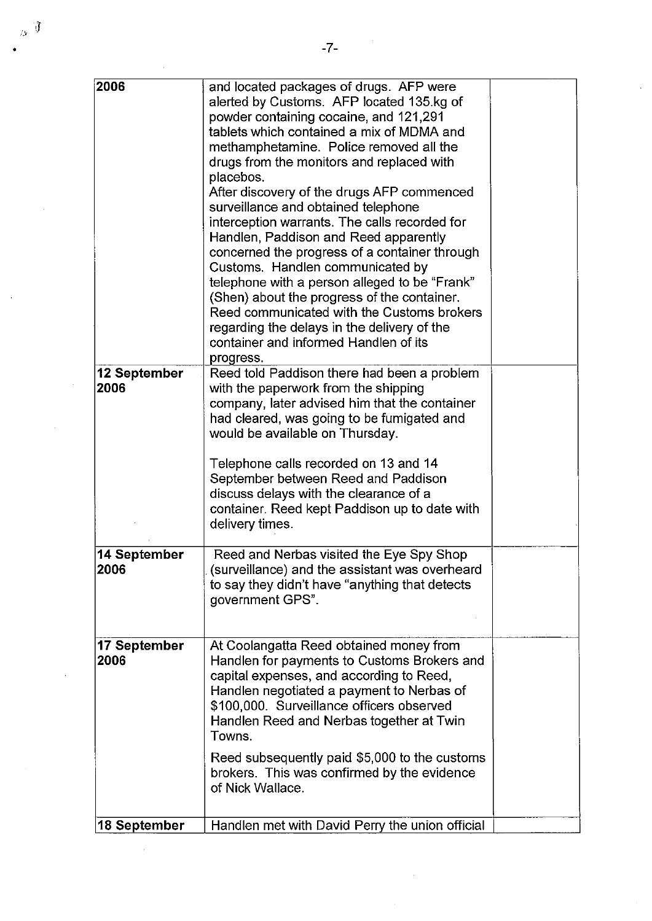$\mathcal{L}_{\text{max}}$ 

 $\label{eq:2.1} \mathcal{L}(\mathbf{z}) = \mathcal{L}(\mathbf{z}) + \mathcal{L}(\mathbf{z})$ 

 $\hat{\mathcal{L}}$ 

 $\mathcal{L}^{\text{max}}_{\text{max}}$  and  $\mathcal{L}^{\text{max}}_{\text{max}}$ 

| 2006                 | and located packages of drugs. AFP were<br>alerted by Customs. AFP located 135.kg of<br>powder containing cocaine, and 121,291<br>tablets which contained a mix of MDMA and<br>methamphetamine. Police removed all the<br>drugs from the monitors and replaced with<br>placebos.<br>After discovery of the drugs AFP commenced<br>surveillance and obtained telephone<br>interception warrants. The calls recorded for<br>Handlen, Paddison and Reed apparently<br>concerned the progress of a container through<br>Customs. Handlen communicated by<br>telephone with a person alleged to be "Frank"<br>(Shen) about the progress of the container.<br>Reed communicated with the Customs brokers<br>regarding the delays in the delivery of the |  |
|----------------------|---------------------------------------------------------------------------------------------------------------------------------------------------------------------------------------------------------------------------------------------------------------------------------------------------------------------------------------------------------------------------------------------------------------------------------------------------------------------------------------------------------------------------------------------------------------------------------------------------------------------------------------------------------------------------------------------------------------------------------------------------|--|
| 12 September<br>2006 | container and informed Handlen of its<br>progress.<br>Reed told Paddison there had been a problem<br>with the paperwork from the shipping<br>company, later advised him that the container<br>had cleared, was going to be fumigated and<br>would be available on Thursday.                                                                                                                                                                                                                                                                                                                                                                                                                                                                       |  |
|                      | Telephone calls recorded on 13 and 14<br>September between Reed and Paddison<br>discuss delays with the clearance of a<br>container. Reed kept Paddison up to date with<br>delivery times.                                                                                                                                                                                                                                                                                                                                                                                                                                                                                                                                                        |  |
| 14 September<br>2006 | Reed and Nerbas visited the Eye Spy Shop<br>(surveillance) and the assistant was overheard<br>to say they didn't have "anything that detects<br>government GPS".                                                                                                                                                                                                                                                                                                                                                                                                                                                                                                                                                                                  |  |
| 17 September<br>2006 | At Coolangatta Reed obtained money from<br>Handlen for payments to Customs Brokers and<br>capital expenses, and according to Reed,<br>Handlen negotiated a payment to Nerbas of<br>\$100,000. Surveillance officers observed<br>Handlen Reed and Nerbas together at Twin<br>Towns.                                                                                                                                                                                                                                                                                                                                                                                                                                                                |  |
|                      | Reed subsequently paid \$5,000 to the customs<br>brokers. This was confirmed by the evidence<br>of Nick Wallace.                                                                                                                                                                                                                                                                                                                                                                                                                                                                                                                                                                                                                                  |  |
| 18 September         | Handlen met with David Perry the union official                                                                                                                                                                                                                                                                                                                                                                                                                                                                                                                                                                                                                                                                                                   |  |

 $\label{eq:2.1} \frac{1}{\sqrt{2}}\left(\frac{1}{\sqrt{2}}\right)^{2} \left(\frac{1}{\sqrt{2}}\right)^{2} \left(\frac{1}{\sqrt{2}}\right)^{2}$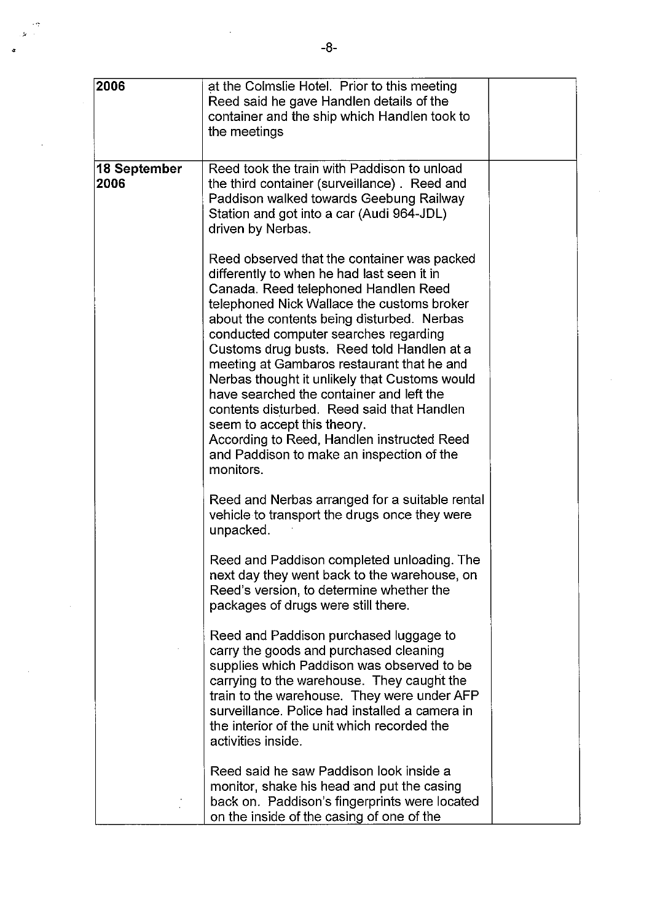| 2006                  | at the Colmslie Hotel. Prior to this meeting<br>Reed said he gave Handlen details of the<br>container and the ship which Handlen took to<br>the meetings                                                                                                                                                                                                                                                                                                                                                                                                                                                                                             |  |
|-----------------------|------------------------------------------------------------------------------------------------------------------------------------------------------------------------------------------------------------------------------------------------------------------------------------------------------------------------------------------------------------------------------------------------------------------------------------------------------------------------------------------------------------------------------------------------------------------------------------------------------------------------------------------------------|--|
| ∣18 September<br>2006 | Reed took the train with Paddison to unload<br>the third container (surveillance). Reed and<br>Paddison walked towards Geebung Railway<br>Station and got into a car (Audi 964-JDL)<br>driven by Nerbas.                                                                                                                                                                                                                                                                                                                                                                                                                                             |  |
|                       | Reed observed that the container was packed<br>differently to when he had last seen it in<br>Canada. Reed telephoned Handlen Reed<br>telephoned Nick Wallace the customs broker<br>about the contents being disturbed. Nerbas<br>conducted computer searches regarding<br>Customs drug busts. Reed told Handlen at a<br>meeting at Gambaros restaurant that he and<br>Nerbas thought it unlikely that Customs would<br>have searched the container and left the<br>contents disturbed. Reed said that Handlen<br>seem to accept this theory.<br>According to Reed, Handlen instructed Reed<br>and Paddison to make an inspection of the<br>monitors. |  |
|                       | Reed and Nerbas arranged for a suitable rental<br>vehicle to transport the drugs once they were<br>unpacked.                                                                                                                                                                                                                                                                                                                                                                                                                                                                                                                                         |  |
|                       | Reed and Paddison completed unloading. The<br>next day they went back to the warehouse, on<br>Reed's version, to determine whether the<br>packages of drugs were still there.                                                                                                                                                                                                                                                                                                                                                                                                                                                                        |  |
|                       | Reed and Paddison purchased luggage to<br>carry the goods and purchased cleaning<br>supplies which Paddison was observed to be<br>carrying to the warehouse. They caught the<br>train to the warehouse. They were under AFP<br>surveillance. Police had installed a camera in<br>the interior of the unit which recorded the<br>activities inside.                                                                                                                                                                                                                                                                                                   |  |
|                       | Reed said he saw Paddison look inside a<br>monitor, shake his head and put the casing<br>back on. Paddison's fingerprints were located<br>on the inside of the casing of one of the                                                                                                                                                                                                                                                                                                                                                                                                                                                                  |  |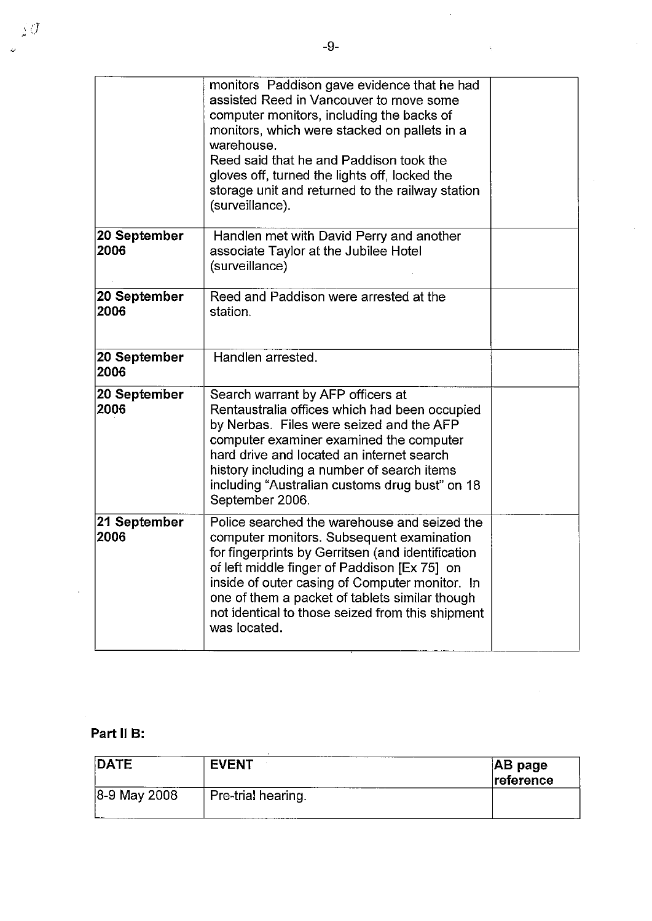$\overline{\omega}$ 

 $\hat{\mathcal{A}}$ 

 $\sim \sqrt{2}$ 

 $\hat{\mathcal{L}}$ 

|                      | monitors Paddison gave evidence that he had<br>assisted Reed in Vancouver to move some<br>computer monitors, including the backs of<br>monitors, which were stacked on pallets in a<br>warehouse.<br>Reed said that he and Paddison took the<br>gloves off, turned the lights off, locked the<br>storage unit and returned to the railway station<br>(surveillance).   |  |
|----------------------|------------------------------------------------------------------------------------------------------------------------------------------------------------------------------------------------------------------------------------------------------------------------------------------------------------------------------------------------------------------------|--|
| 20 September<br>2006 | Handlen met with David Perry and another<br>associate Taylor at the Jubilee Hotel<br>(surveillance)                                                                                                                                                                                                                                                                    |  |
| 20 September<br>2006 | Reed and Paddison were arrested at the<br>station.                                                                                                                                                                                                                                                                                                                     |  |
| 20 September<br>2006 | Handlen arrested.                                                                                                                                                                                                                                                                                                                                                      |  |
| 20 September<br>2006 | Search warrant by AFP officers at<br>Rentaustralia offices which had been occupied<br>by Nerbas. Files were seized and the AFP<br>computer examiner examined the computer<br>hard drive and located an internet search<br>history including a number of search items<br>including "Australian customs drug bust" on 18<br>September 2006.                              |  |
| 21 September<br>2006 | Police searched the warehouse and seized the<br>computer monitors. Subsequent examination<br>for fingerprints by Gerritsen (and identification<br>of left middle finger of Paddison [Ex 75] on<br>inside of outer casing of Computer monitor. In<br>one of them a packet of tablets similar though<br>not identical to those seized from this shipment<br>was located. |  |

## **Part 11 B:**

| <b>DATE</b>     | <b>EVENT</b>       | $ AB\>page$<br>reference |
|-----------------|--------------------|--------------------------|
| $ 8-9$ May 2008 | Pre-trial hearing. |                          |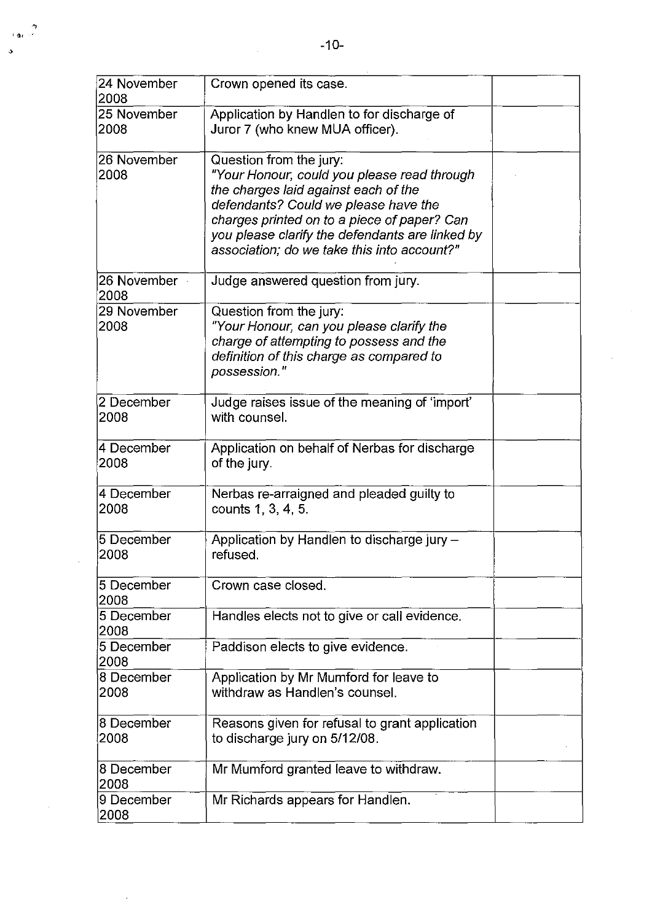| 24 November<br>2008 | Crown opened its case.                                                                                                                                                                                                                                                                                  |  |
|---------------------|---------------------------------------------------------------------------------------------------------------------------------------------------------------------------------------------------------------------------------------------------------------------------------------------------------|--|
| 25 November<br>2008 | Application by Handlen to for discharge of<br>Juror 7 (who knew MUA officer).                                                                                                                                                                                                                           |  |
| 26 November<br>2008 | Question from the jury:<br>"Your Honour, could you please read through<br>the charges laid against each of the<br>defendants? Could we please have the<br>charges printed on to a piece of paper? Can<br>you please clarify the defendants are linked by<br>association; do we take this into account?" |  |
| 26 November<br>2008 | Judge answered question from jury.                                                                                                                                                                                                                                                                      |  |
| 29 November<br>2008 | Question from the jury:<br>"Your Honour, can you please clarify the<br>charge of attempting to possess and the<br>definition of this charge as compared to<br>possession."                                                                                                                              |  |
| 2 December<br>2008  | Judge raises issue of the meaning of 'import'<br>with counsel.                                                                                                                                                                                                                                          |  |
| 4 December<br>2008  | Application on behalf of Nerbas for discharge<br>of the jury.                                                                                                                                                                                                                                           |  |
| 4 December<br>2008  | Nerbas re-arraigned and pleaded guilty to<br>counts 1, 3, 4, 5.                                                                                                                                                                                                                                         |  |
| 5 December<br>2008  | Application by Handlen to discharge jury -<br>refused.                                                                                                                                                                                                                                                  |  |
| 5 December<br>2008  | Crown case closed.                                                                                                                                                                                                                                                                                      |  |
| 5 December<br>2008  | Handles elects not to give or call evidence.                                                                                                                                                                                                                                                            |  |
| 5 December<br>2008  | Paddison elects to give evidence.                                                                                                                                                                                                                                                                       |  |
| 8 December<br>2008  | Application by Mr Mumford for leave to<br>withdraw as Handlen's counsel.                                                                                                                                                                                                                                |  |
| 8 December<br>2008  | Reasons given for refusal to grant application<br>to discharge jury on 5/12/08.                                                                                                                                                                                                                         |  |
| 8 December<br>2008  | Mr Mumford granted leave to withdraw.                                                                                                                                                                                                                                                                   |  |
| 9 December<br>2008  | Mr Richards appears for Handlen.                                                                                                                                                                                                                                                                        |  |

.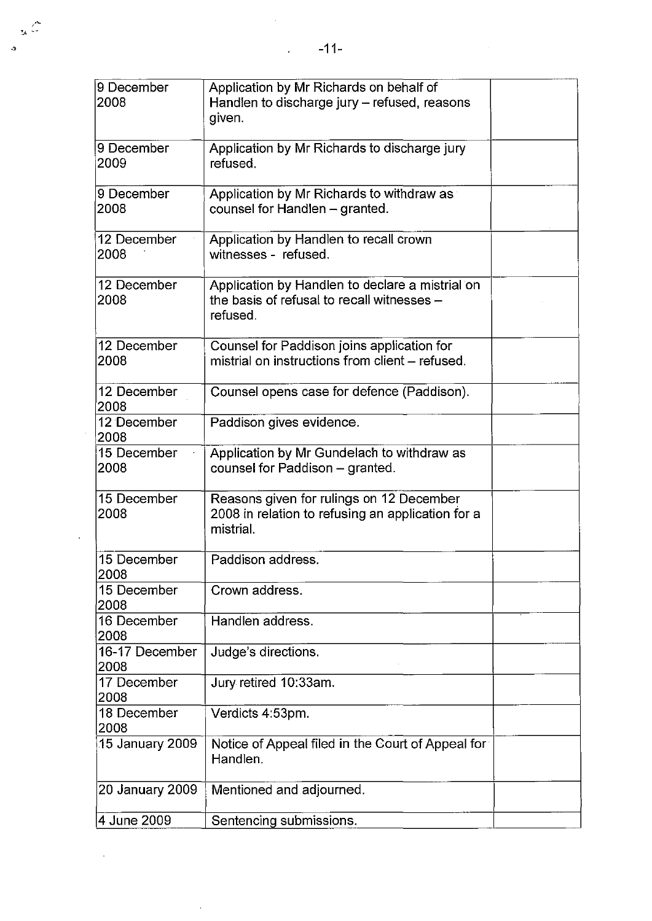$\frac{1}{2}$ 

 $\frac{1}{2}$ 

| 9 December<br>2008     | Application by Mr Richards on behalf of<br>Handlen to discharge jury - refused, reasons<br>given.          |  |
|------------------------|------------------------------------------------------------------------------------------------------------|--|
| 9 December<br>2009     | Application by Mr Richards to discharge jury<br>refused.                                                   |  |
| 9 December<br>2008     | Application by Mr Richards to withdraw as<br>counsel for Handlen - granted.                                |  |
| 12 December<br>2008    | Application by Handlen to recall crown<br>witnesses - refused.                                             |  |
| 12 December<br>2008    | Application by Handlen to declare a mistrial on<br>the basis of refusal to recall witnesses -<br>refused.  |  |
| 12 December<br>2008    | Counsel for Paddison joins application for<br>mistrial on instructions from client - refused.              |  |
| 12 December<br>2008    | Counsel opens case for defence (Paddison).                                                                 |  |
| 12 December<br>2008    | Paddison gives evidence.                                                                                   |  |
| 15 December<br>2008    | Application by Mr Gundelach to withdraw as<br>counsel for Paddison - granted.                              |  |
| 15 December<br>2008    | Reasons given for rulings on 12 December<br>2008 in relation to refusing an application for a<br>mistrial. |  |
| 15 December<br>2008    | Paddison address.                                                                                          |  |
| 15 December<br>2008    | Crown address.                                                                                             |  |
| 16 December<br>2008    | Handlen address.                                                                                           |  |
| 16-17 December<br>2008 | Judge's directions.                                                                                        |  |
| 17 December<br>2008    | Jury retired 10:33am.                                                                                      |  |
| 18 December<br>2008    | Verdicts 4:53pm.                                                                                           |  |
| 15 January 2009        | Notice of Appeal filed in the Court of Appeal for<br>Handlen.                                              |  |
| 20 January 2009        | Mentioned and adjourned.                                                                                   |  |
| 4 June 2009            | Sentencing submissions.                                                                                    |  |

 $\mathcal{L}$ 

 $\sim$   $\sim$ 

 $\sim$ 

 $\ddot{\textbf{a}}$